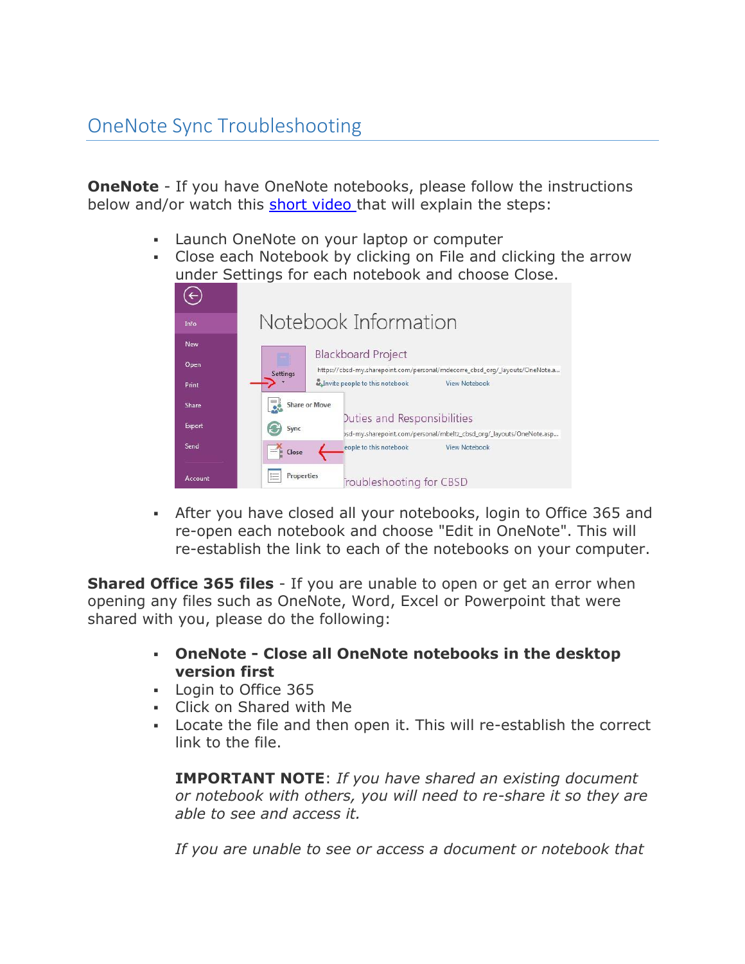**OneNote** - If you have OneNote notebooks, please follow the instructions below and/or watch this [short video t](http://www.screencast.com/t/FVEftlAeubWs)hat will explain the steps:

- Launch OneNote on your laptop or computer
- Close each Notebook by clicking on File and clicking the arrow under Settings for each notebook and choose Close.



 After you have closed all your notebooks, login to Office 365 and re-open each notebook and choose "Edit in OneNote". This will re-establish the link to each of the notebooks on your computer.

**Shared Office 365 files** - If you are unable to open or get an error when opening any files such as OneNote, Word, Excel or Powerpoint that were shared with you, please do the following:

- **OneNote - Close all OneNote notebooks in the desktop version first**
- Login to Office 365
- Click on Shared with Me
- Locate the file and then open it. This will re-establish the correct link to the file.

**IMPORTANT NOTE**: *If you have shared an existing document or notebook with others, you will need to re-share it so they are able to see and access it.* 

*If you are unable to see or access a document or notebook that*